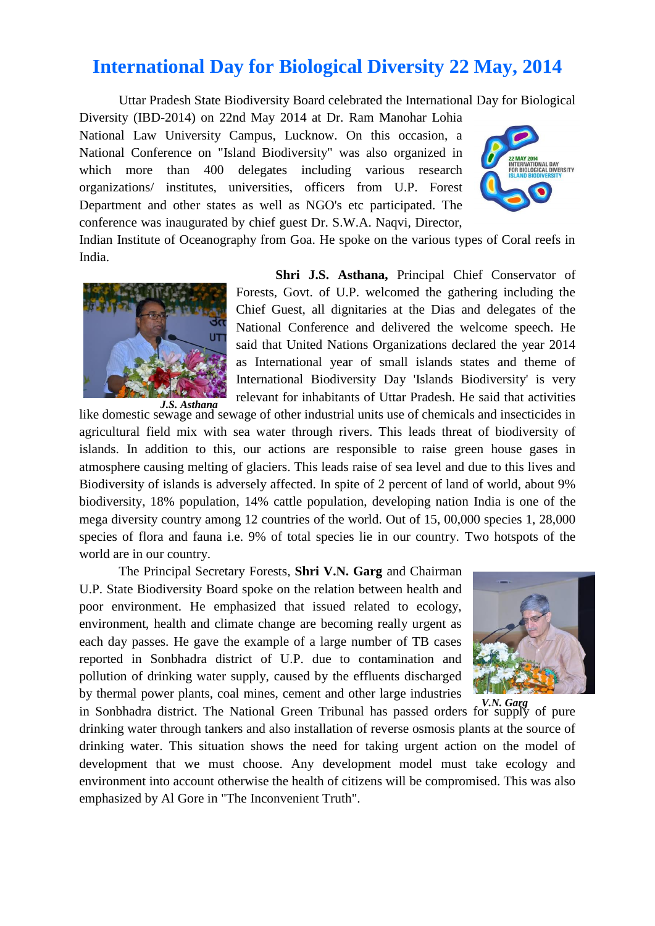## **International Day for Biological Diversity 22 May, 2014**

Uttar Pradesh State Biodiversity Board celebrated the International Day for Biological

Diversity (IBD-2014) on 22nd May 2014 at Dr. Ram Manohar Lohia National Law University Campus, Lucknow. On this occasion, a National Conference on "Island Biodiversity" was also organized in which more than 400 delegates including various research organizations/ institutes, universities, officers from U.P. Forest Department and other states as well as NGO's etc participated. The conference was inaugurated by chief guest Dr. S.W.A. Naqvi, Director,



Indian Institute of Oceanography from Goa. He spoke on the various types of Coral reefs in India.



**Shri J.S. Asthana,** Principal Chief Conservator of Forests, Govt. of U.P. welcomed the gathering including the Chief Guest, all dignitaries at the Dias and delegates of the National Conference and delivered the welcome speech. He said that United Nations Organizations declared the year 2014 as International year of small islands states and theme of International Biodiversity Day 'Islands Biodiversity' is very relevant for inhabitants of Uttar Pradesh. He said that activities

like domestic sewage and sewage of other industrial units use of chemicals and insecticides in agricultural field mix with sea water through rivers. This leads threat of biodiversity of islands. In addition to this, our actions are responsible to raise green house gases in atmosphere causing melting of glaciers. This leads raise of sea level and due to this lives and Biodiversity of islands is adversely affected. In spite of 2 percent of land of world, about 9% biodiversity, 18% population, 14% cattle population, developing nation India is one of the mega diversity country among 12 countries of the world. Out of 15, 00,000 species 1, 28,000 species of flora and fauna i.e. 9% of total species lie in our country. Two hotspots of the world are in our country.

The Principal Secretary Forests, **Shri V.N. Garg** and Chairman U.P. State Biodiversity Board spoke on the relation between health and poor environment. He emphasized that issued related to ecology, environment, health and climate change are becoming really urgent as each day passes. He gave the example of a large number of TB cases reported in Sonbhadra district of U.P. due to contamination and pollution of drinking water supply, caused by the effluents discharged by thermal power plants, coal mines, cement and other large industries



in Sonbhadra district. The National Green Tribunal has passed orders for supply of pure *V.N. Garg*drinking water through tankers and also installation of reverse osmosis plants at the source of drinking water. This situation shows the need for taking urgent action on the model of development that we must choose. Any development model must take ecology and environment into account otherwise the health of citizens will be compromised. This was also emphasized by Al Gore in "The Inconvenient Truth".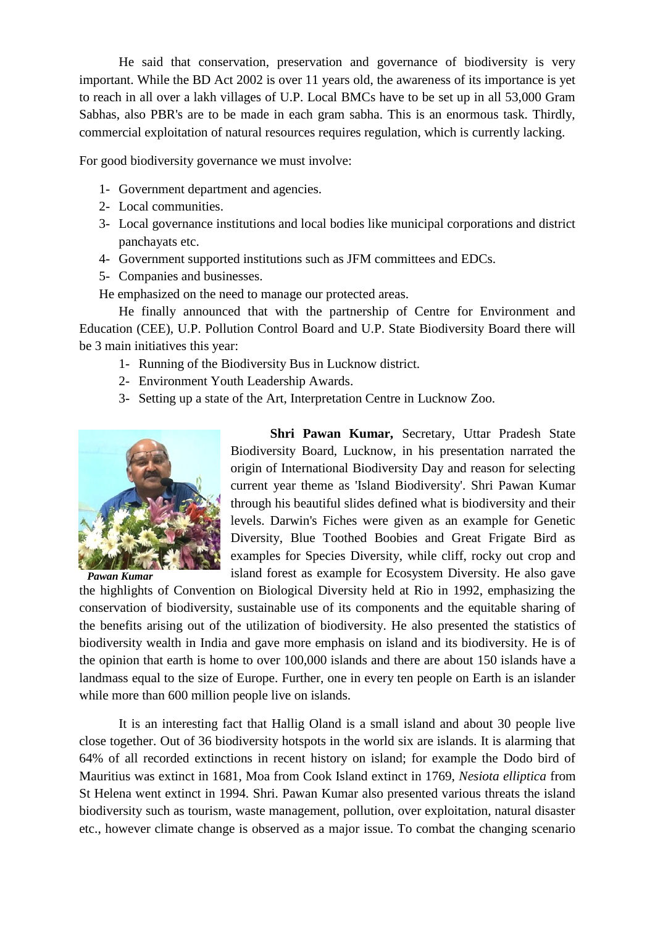He said that conservation, preservation and governance of biodiversity is very important. While the BD Act 2002 is over 11 years old, the awareness of its importance is yet to reach in all over a lakh villages of U.P. Local BMCs have to be set up in all 53,000 Gram Sabhas, also PBR's are to be made in each gram sabha. This is an enormous task. Thirdly, commercial exploitation of natural resources requires regulation, which is currently lacking.

For good biodiversity governance we must involve:

- 1- Government department and agencies.
- 2- Local communities.
- 3- Local governance institutions and local bodies like municipal corporations and district panchayats etc.
- 4- Government supported institutions such as JFM committees and EDCs.
- 5- Companies and businesses.

He emphasized on the need to manage our protected areas.

He finally announced that with the partnership of Centre for Environment and Education (CEE), U.P. Pollution Control Board and U.P. State Biodiversity Board there will be 3 main initiatives this year:

- 1- Running of the Biodiversity Bus in Lucknow district.
- 2- Environment Youth Leadership Awards.
- 3- Setting up a state of the Art, Interpretation Centre in Lucknow Zoo.



*Pawan Kumar*

**Shri Pawan Kumar,** Secretary, Uttar Pradesh State Biodiversity Board, Lucknow, in his presentation narrated the origin of International Biodiversity Day and reason for selecting current year theme as 'Island Biodiversity'. Shri Pawan Kumar through his beautiful slides defined what is biodiversity and their levels. Darwin's Fiches were given as an example for Genetic Diversity, Blue Toothed Boobies and Great Frigate Bird as examples for Species Diversity, while cliff, rocky out crop and island forest as example for Ecosystem Diversity. He also gave

the highlights of Convention on Biological Diversity held at Rio in 1992, emphasizing the conservation of biodiversity, sustainable use of its components and the equitable sharing of the benefits arising out of the utilization of biodiversity. He also presented the statistics of biodiversity wealth in India and gave more emphasis on island and its biodiversity. He is of the opinion that earth is home to over 100,000 islands and there are about 150 islands have a landmass equal to the size of Europe. Further, one in every ten people on Earth is an islander while more than 600 million people live on islands.

It is an interesting fact that Hallig Oland is a small island and about 30 people live close together. Out of 36 biodiversity hotspots in the world six are islands. It is alarming that 64% of all recorded extinctions in recent history on island; for example the Dodo bird of Mauritius was extinct in 1681, Moa from Cook Island extinct in 1769, *Nesiota elliptica* from St Helena went extinct in 1994. Shri. Pawan Kumar also presented various threats the island biodiversity such as tourism, waste management, pollution, over exploitation, natural disaster etc., however climate change is observed as a major issue. To combat the changing scenario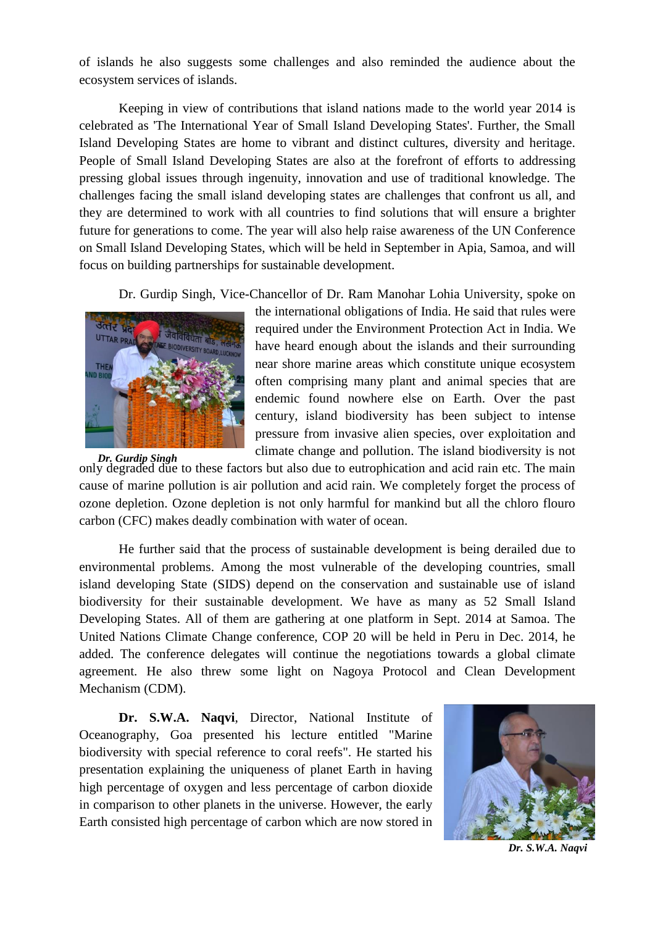of islands he also suggests some challenges and also reminded the audience about the ecosystem services of islands.

Keeping in view of contributions that island nations made to the world year 2014 is celebrated as 'The International Year of Small Island Developing States'. Further, the Small Island Developing States are home to vibrant and distinct cultures, diversity and heritage. People of Small Island Developing States are also at the forefront of efforts to addressing pressing global issues through ingenuity, innovation and use of traditional knowledge. The challenges facing the small island developing states are challenges that confront us all, and they are determined to work with all countries to find solutions that will ensure a brighter future for generations to come. The year will also help raise awareness of the UN Conference on Small Island Developing States, which will be held in September in Apia, Samoa, and will focus on building partnerships for sustainable development.

Dr. Gurdip Singh, Vice-Chancellor of Dr. Ram Manohar Lohia University, spoke on



the international obligations of India. He said that rules were required under the Environment Protection Act in India. We have heard enough about the islands and their surrounding near shore marine areas which constitute unique ecosystem often comprising many plant and animal species that are endemic found nowhere else on Earth. Over the past century, island biodiversity has been subject to intense pressure from invasive alien species, over exploitation and climate change and pollution. The island biodiversity is not

only degraded due to these factors but also due to eutrophication and acid rain etc. The main cause of marine pollution is air pollution and acid rain. We completely forget the process of ozone depletion. Ozone depletion is not only harmful for mankind but all the chloro flouro carbon (CFC) makes deadly combination with water of ocean. *Dr. Gurdip Singh*

He further said that the process of sustainable development is being derailed due to environmental problems. Among the most vulnerable of the developing countries, small island developing State (SIDS) depend on the conservation and sustainable use of island biodiversity for their sustainable development. We have as many as 52 Small Island Developing States. All of them are gathering at one platform in Sept. 2014 at Samoa. The United Nations Climate Change conference, COP 20 will be held in Peru in Dec. 2014, he added. The conference delegates will continue the negotiations towards a global climate agreement. He also threw some light on Nagoya Protocol and Clean Development Mechanism (CDM).

**Dr. S.W.A. Naqvi**, Director, National Institute of Oceanography, Goa presented his lecture entitled "Marine biodiversity with special reference to coral reefs". He started his presentation explaining the uniqueness of planet Earth in having high percentage of oxygen and less percentage of carbon dioxide in comparison to other planets in the universe. However, the early Earth consisted high percentage of carbon which are now stored in



*Dr. S.W.A. Naqvi*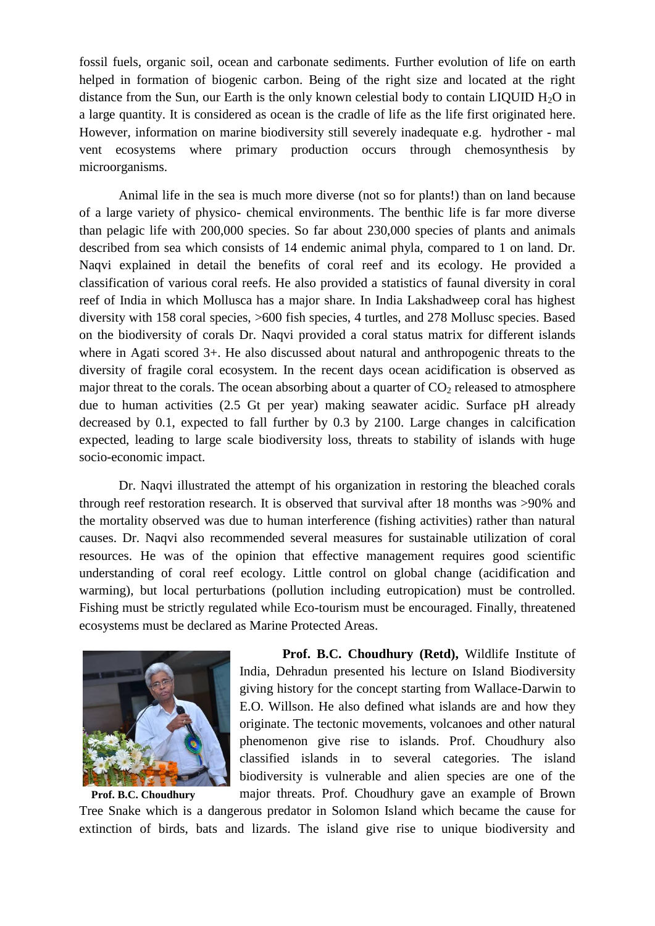fossil fuels, organic soil, ocean and carbonate sediments. Further evolution of life on earth helped in formation of biogenic carbon. Being of the right size and located at the right distance from the Sun, our Earth is the only known celestial body to contain LIQUID  $H_2O$  in a large quantity. It is considered as ocean is the cradle of life as the life first originated here. However, information on marine biodiversity still severely inadequate e.g. hydrother - mal vent ecosystems where primary production occurs through chemosynthesis by microorganisms.

Animal life in the sea is much more diverse (not so for plants!) than on land because of a large variety of physico- chemical environments. The benthic life is far more diverse than pelagic life with 200,000 species. So far about 230,000 species of plants and animals described from sea which consists of 14 endemic animal phyla, compared to 1 on land. Dr. Naqvi explained in detail the benefits of coral reef and its ecology. He provided a classification of various coral reefs. He also provided a statistics of faunal diversity in coral reef of India in which Mollusca has a major share. In India Lakshadweep coral has highest diversity with 158 coral species, >600 fish species, 4 turtles, and 278 Mollusc species. Based on the biodiversity of corals Dr. Naqvi provided a coral status matrix for different islands where in Agati scored 3+. He also discussed about natural and anthropogenic threats to the diversity of fragile coral ecosystem. In the recent days ocean acidification is observed as major threat to the corals. The ocean absorbing about a quarter of  $CO<sub>2</sub>$  released to atmosphere due to human activities (2.5 Gt per year) making seawater acidic. Surface pH already decreased by 0.1, expected to fall further by 0.3 by 2100. Large changes in calcification expected, leading to large scale biodiversity loss, threats to stability of islands with huge socio-economic impact.

Dr. Naqvi illustrated the attempt of his organization in restoring the bleached corals through reef restoration research. It is observed that survival after 18 months was >90% and the mortality observed was due to human interference (fishing activities) rather than natural causes. Dr. Naqvi also recommended several measures for sustainable utilization of coral resources. He was of the opinion that effective management requires good scientific understanding of coral reef ecology. Little control on global change (acidification and warming), but local perturbations (pollution including eutropication) must be controlled. Fishing must be strictly regulated while Eco-tourism must be encouraged. Finally, threatened ecosystems must be declared as Marine Protected Areas.



**Prof. B.C. Choudhury (Retd),** Wildlife Institute of India, Dehradun presented his lecture on Island Biodiversity giving history for the concept starting from Wallace-Darwin to E.O. Willson. He also defined what islands are and how they originate. The tectonic movements, volcanoes and other natural phenomenon give rise to islands. Prof. Choudhury also classified islands in to several categories. The island biodiversity is vulnerable and alien species are one of the major threats. Prof. Choudhury gave an example of Brown

Tree Snake which is a dangerous predator in Solomon Island which became the cause for extinction of birds, bats and lizards. The island give rise to unique biodiversity and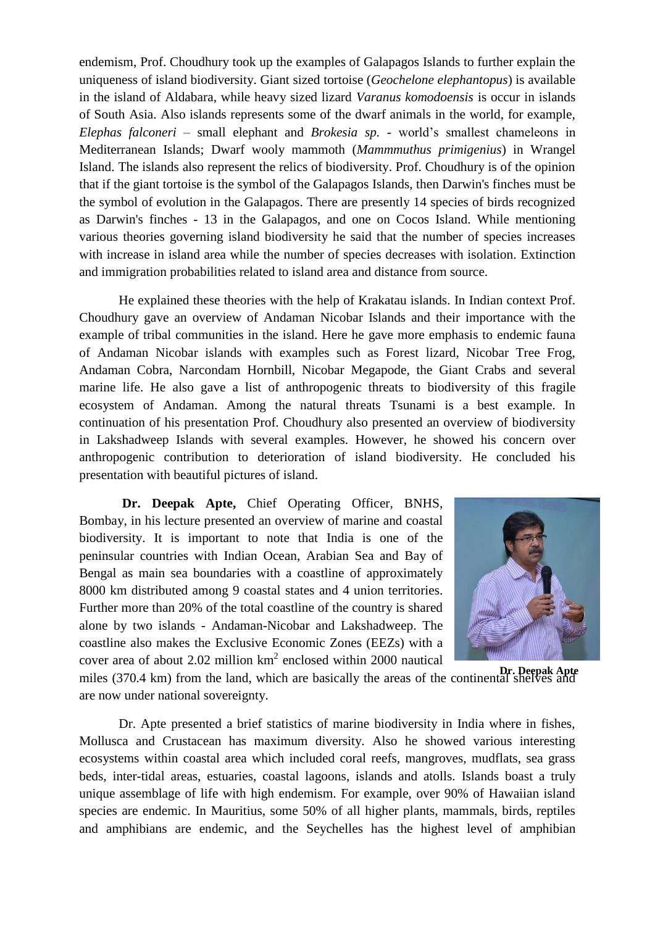endemism, Prof. Choudhury took up the examples of Galapagos Islands to further explain the uniqueness of island biodiversity. Giant sized tortoise (*Geochelone elephantopus*) is available in the island of Aldabara, while heavy sized lizard *Varanus komodoensis* is occur in islands of South Asia. Also islands represents some of the dwarf animals in the world, for example, *Elephas falconeri* – small elephant and *Brokesia sp.* - world's smallest chameleons in Mediterranean Islands; Dwarf wooly mammoth (*Mammmuthus primigenius*) in Wrangel Island. The islands also represent the relics of biodiversity. Prof. Choudhury is of the opinion that if the giant tortoise is the symbol of the Galapagos Islands, then Darwin's finches must be the symbol of evolution in the Galapagos. There are presently 14 species of birds recognized as Darwin's finches - 13 in the Galapagos, and one on Cocos Island. While mentioning various theories governing island biodiversity he said that the number of species increases with increase in island area while the number of species decreases with isolation. Extinction and immigration probabilities related to island area and distance from source.

He explained these theories with the help of Krakatau islands. In Indian context Prof. Choudhury gave an overview of Andaman Nicobar Islands and their importance with the example of tribal communities in the island. Here he gave more emphasis to endemic fauna of Andaman Nicobar islands with examples such as Forest lizard, Nicobar Tree Frog, Andaman Cobra, Narcondam Hornbill, Nicobar Megapode, the Giant Crabs and several marine life. He also gave a list of anthropogenic threats to biodiversity of this fragile ecosystem of Andaman. Among the natural threats Tsunami is a best example. In continuation of his presentation Prof. Choudhury also presented an overview of biodiversity in Lakshadweep Islands with several examples. However, he showed his concern over anthropogenic contribution to deterioration of island biodiversity. He concluded his presentation with beautiful pictures of island.

**Dr. Deepak Apte,** Chief Operating Officer, BNHS, Bombay, in his lecture presented an overview of marine and coastal biodiversity. It is important to note that India is one of the peninsular countries with Indian Ocean, Arabian Sea and Bay of Bengal as main sea boundaries with a coastline of approximately 8000 km distributed among 9 coastal states and 4 union territories. Further more than 20% of the total coastline of the country is shared alone by two islands - Andaman-Nicobar and Lakshadweep. The coastline also makes the Exclusive Economic Zones (EEZs) with a cover area of about 2.02 million  $km^2$  enclosed within 2000 nautical



miles (370.4 km) from the land, which are basically the areas of the continental shelves and **Dr. Deepak Apte**are now under national sovereignty.

Dr. Apte presented a brief statistics of marine biodiversity in India where in fishes, Mollusca and Crustacean has maximum diversity. Also he showed various interesting ecosystems within coastal area which included coral reefs, mangroves, mudflats, sea grass beds, inter-tidal areas, estuaries, coastal lagoons, islands and atolls. Islands boast a truly unique assemblage of life with high endemism. For example, over 90% of Hawaiian island species are endemic. In Mauritius, some 50% of all higher plants, mammals, birds, reptiles and amphibians are endemic, and the Seychelles has the highest level of amphibian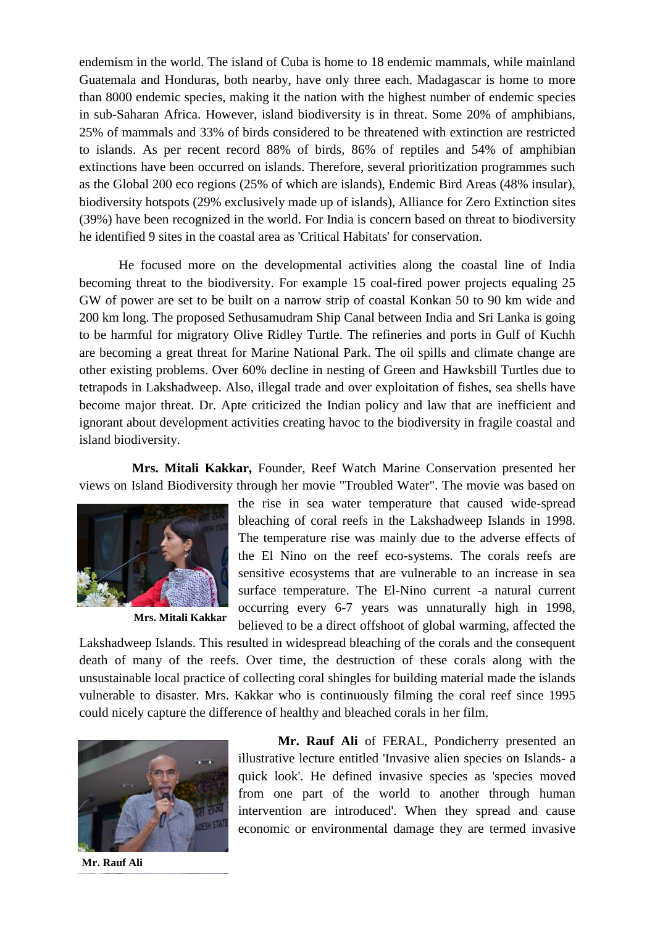endemism in the world. The island of Cuba is home to 18 endemic mammals, while mainland Guatemala and Honduras, both nearby, have only three each. Madagascar is home to more than 8000 endemic species, making it the nation with the highest number of endemic species in sub-Saharan Africa. However, island biodiversity is in threat. Some 20% of amphibians, 25% of mammals and 33% of birds considered to be threatened with extinction are restricted to islands. As per recent record 88% of birds, 86% of reptiles and 54% of amphibian extinctions have been occurred on islands. Therefore, several prioritization programmes such as the Global 200 eco regions (25% of which are islands), Endemic Bird Areas (48% insular), biodiversity hotspots (29% exclusively made up of islands), Alliance for Zero Extinction sites (39%) have been recognized in the world. For India is concern based on threat to biodiversity he identified 9 sites in the coastal area as 'Critical Habitats' for conservation.

He focused more on the developmental activities along the coastal line of India becoming threat to the biodiversity. For example 15 coal-fired power projects equaling 25 GW of power are set to be built on a narrow strip of coastal Konkan 50 to 90 km wide and 200 km long. The proposed Sethusamudram Ship Canal between India and Sri Lanka is going to be harmful for migratory Olive Ridley Turtle. The refineries and ports in Gulf of Kuchh are becoming a great threat for Marine National Park. The oil spills and climate change are other existing problems. Over 60% decline in nesting of Green and Hawksbill Turtles due to tetrapods in Lakshadweep. Also, illegal trade and over exploitation of fishes, sea shells have become major threat. Dr. Apte criticized the Indian policy and law that are inefficient and ignorant about development activities creating havoc to the biodiversity in fragile coastal and island biodiversity.

 **Mrs. Mitali Kakkar,** Founder, Reef Watch Marine Conservation presented her views on Island Biodiversity through her movie "Troubled Water". The movie was based on



**Mrs. Mitali Kakkar**

the rise in sea water temperature that caused wide-spread bleaching of coral reefs in the Lakshadweep Islands in 1998. The temperature rise was mainly due to the adverse effects of the El Nino on the reef eco-systems. The corals reefs are sensitive ecosystems that are vulnerable to an increase in sea surface temperature. The El-Nino current -a natural current occurring every 6-7 years was unnaturally high in 1998, believed to be a direct offshoot of global warming, affected the

Lakshadweep Islands. This resulted in widespread bleaching of the corals and the consequent death of many of the reefs. Over time, the destruction of these corals along with the unsustainable local practice of collecting coral shingles for building material made the islands vulnerable to disaster. Mrs. Kakkar who is continuously filming the coral reef since 1995 could nicely capture the difference of healthy and bleached corals in her film.



**Mr. Rauf Ali** of FERAL, Pondicherry presented an illustrative lecture entitled 'Invasive alien species on Islands- a quick look'. He defined invasive species as 'species moved from one part of the world to another through human intervention are introduced'. When they spread and cause economic or environmental damage they are termed invasive

 **Mr. Rauf Ali**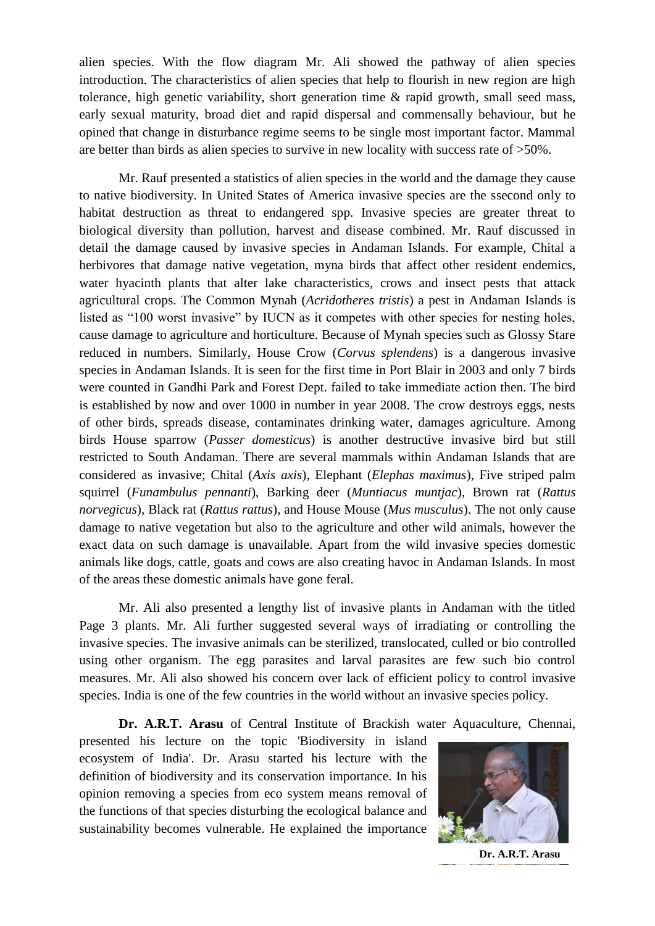alien species. With the flow diagram Mr. Ali showed the pathway of alien species introduction. The characteristics of alien species that help to flourish in new region are high tolerance, high genetic variability, short generation time & rapid growth, small seed mass, early sexual maturity, broad diet and rapid dispersal and commensally behaviour, but he opined that change in disturbance regime seems to be single most important factor. Mammal are better than birds as alien species to survive in new locality with success rate of >50%.

Mr. Rauf presented a statistics of alien species in the world and the damage they cause to native biodiversity. In United States of America invasive species are the ssecond only to habitat destruction as threat to endangered spp. Invasive species are greater threat to biological diversity than pollution, harvest and disease combined. Mr. Rauf discussed in detail the damage caused by invasive species in Andaman Islands. For example, Chital a herbivores that damage native vegetation, myna birds that affect other resident endemics, water hyacinth plants that alter lake characteristics, crows and insect pests that attack agricultural crops. The Common Mynah (*Acridotheres tristis*) a pest in Andaman Islands is listed as "100 worst invasive" by IUCN as it competes with other species for nesting holes, cause damage to agriculture and horticulture. Because of Mynah species such as Glossy Stare reduced in numbers. Similarly, House Crow (*Corvus splendens*) is a dangerous invasive species in Andaman Islands. It is seen for the first time in Port Blair in 2003 and only 7 birds were counted in Gandhi Park and Forest Dept. failed to take immediate action then. The bird is established by now and over 1000 in number in year 2008. The crow destroys eggs, nests of other birds, spreads disease, contaminates drinking water, damages agriculture. Among birds House sparrow (*Passer domesticus*) is another destructive invasive bird but still restricted to South Andaman. There are several mammals within Andaman Islands that are considered as invasive; Chital (*Axis axis*), Elephant (*Elephas maximus*), Five striped palm squirrel (*Funambulus pennanti*), Barking deer (*Muntiacus muntjac*), Brown rat (*Rattus norvegicus*), Black rat (*Rattus rattus*), and House Mouse (*Mus musculus*). The not only cause damage to native vegetation but also to the agriculture and other wild animals, however the exact data on such damage is unavailable. Apart from the wild invasive species domestic animals like dogs, cattle, goats and cows are also creating havoc in Andaman Islands. In most of the areas these domestic animals have gone feral.

Mr. Ali also presented a lengthy list of invasive plants in Andaman with the titled Page 3 plants. Mr. Ali further suggested several ways of irradiating or controlling the invasive species. The invasive animals can be sterilized, translocated, culled or bio controlled using other organism. The egg parasites and larval parasites are few such bio control measures. Mr. Ali also showed his concern over lack of efficient policy to control invasive species. India is one of the few countries in the world without an invasive species policy.

**Dr. A.R.T. Arasu** of Central Institute of Brackish water Aquaculture, Chennai,

presented his lecture on the topic 'Biodiversity in island ecosystem of India'. Dr. Arasu started his lecture with the definition of biodiversity and its conservation importance. In his opinion removing a species from eco system means removal of the functions of that species disturbing the ecological balance and sustainability becomes vulnerable. He explained the importance



**Dr. A.R.T. Arasu**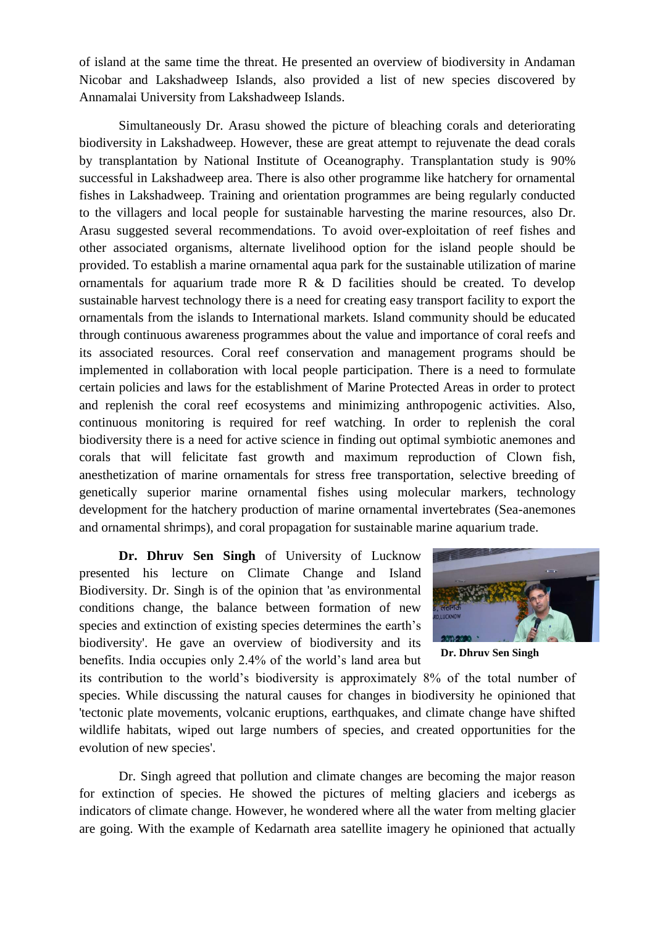of island at the same time the threat. He presented an overview of biodiversity in Andaman Nicobar and Lakshadweep Islands, also provided a list of new species discovered by Annamalai University from Lakshadweep Islands.

Simultaneously Dr. Arasu showed the picture of bleaching corals and deteriorating biodiversity in Lakshadweep. However, these are great attempt to rejuvenate the dead corals by transplantation by National Institute of Oceanography. Transplantation study is 90% successful in Lakshadweep area. There is also other programme like hatchery for ornamental fishes in Lakshadweep. Training and orientation programmes are being regularly conducted to the villagers and local people for sustainable harvesting the marine resources, also Dr. Arasu suggested several recommendations. To avoid over-exploitation of reef fishes and other associated organisms, alternate livelihood option for the island people should be provided. To establish a marine ornamental aqua park for the sustainable utilization of marine ornamentals for aquarium trade more  $R \& D$  facilities should be created. To develop sustainable harvest technology there is a need for creating easy transport facility to export the ornamentals from the islands to International markets. Island community should be educated through continuous awareness programmes about the value and importance of coral reefs and its associated resources. Coral reef conservation and management programs should be implemented in collaboration with local people participation. There is a need to formulate certain policies and laws for the establishment of Marine Protected Areas in order to protect and replenish the coral reef ecosystems and minimizing anthropogenic activities. Also, continuous monitoring is required for reef watching. In order to replenish the coral biodiversity there is a need for active science in finding out optimal symbiotic anemones and corals that will felicitate fast growth and maximum reproduction of Clown fish, anesthetization of marine ornamentals for stress free transportation, selective breeding of genetically superior marine ornamental fishes using molecular markers, technology development for the hatchery production of marine ornamental invertebrates (Sea-anemones and ornamental shrimps), and coral propagation for sustainable marine aquarium trade.

**Dr. Dhruv Sen Singh** of University of Lucknow presented his lecture on Climate Change and Island Biodiversity. Dr. Singh is of the opinion that 'as environmental conditions change, the balance between formation of new species and extinction of existing species determines the earth's biodiversity'. He gave an overview of biodiversity and its benefits. India occupies only 2.4% of the world's land area but



**Dr. Dhruv Sen Singh**

its contribution to the world's biodiversity is approximately 8% of the total number of species. While discussing the natural causes for changes in biodiversity he opinioned that 'tectonic plate movements, volcanic eruptions, earthquakes, and climate change have shifted wildlife habitats, wiped out large numbers of species, and created opportunities for the evolution of new species'.

Dr. Singh agreed that pollution and climate changes are becoming the major reason for extinction of species. He showed the pictures of melting glaciers and icebergs as indicators of climate change. However, he wondered where all the water from melting glacier are going. With the example of Kedarnath area satellite imagery he opinioned that actually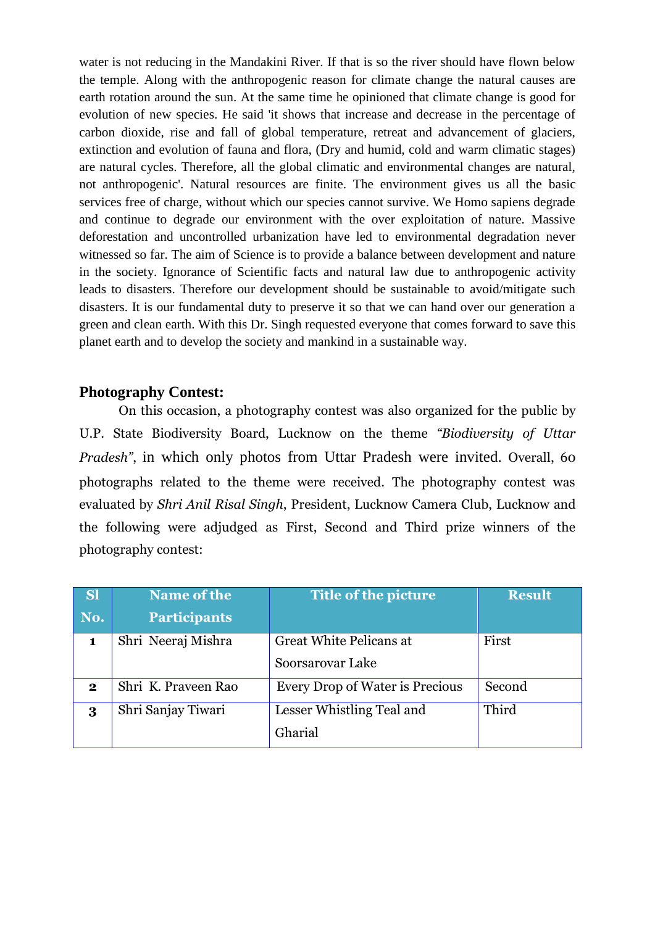water is not reducing in the Mandakini River. If that is so the river should have flown below the temple. Along with the anthropogenic reason for climate change the natural causes are earth rotation around the sun. At the same time he opinioned that climate change is good for evolution of new species. He said 'it shows that increase and decrease in the percentage of carbon dioxide, rise and fall of global temperature, retreat and advancement of glaciers, extinction and evolution of fauna and flora, (Dry and humid, cold and warm climatic stages) are natural cycles. Therefore, all the global climatic and environmental changes are natural, not anthropogenic'. Natural resources are finite. The environment gives us all the basic services free of charge, without which our species cannot survive. We Homo sapiens degrade and continue to degrade our environment with the over exploitation of nature. Massive deforestation and uncontrolled urbanization have led to environmental degradation never witnessed so far. The aim of Science is to provide a balance between development and nature in the society. Ignorance of Scientific facts and natural law due to anthropogenic activity leads to disasters. Therefore our development should be sustainable to avoid/mitigate such disasters. It is our fundamental duty to preserve it so that we can hand over our generation a green and clean earth. With this Dr. Singh requested everyone that comes forward to save this planet earth and to develop the society and mankind in a sustainable way.

## **Photography Contest:**

On this occasion, a photography contest was also organized for the public by U.P. State Biodiversity Board, Lucknow on the theme *"Biodiversity of Uttar Pradesh"*, in which only photos from Uttar Pradesh were invited. Overall, 60 photographs related to the theme were received. The photography contest was evaluated by *Shri Anil Risal Singh*, President, Lucknow Camera Club, Lucknow and the following were adjudged as First, Second and Third prize winners of the photography contest:

| <b>Sl</b>    | <b>Name of the</b>  | Title of the picture            | <b>Result</b> |
|--------------|---------------------|---------------------------------|---------------|
| No.          | <b>Participants</b> |                                 |               |
|              | Shri Neeraj Mishra  | <b>Great White Pelicans at</b>  | First         |
|              |                     | Soorsarovar Lake                |               |
| $\mathbf{2}$ | Shri K. Praveen Rao | Every Drop of Water is Precious | Second        |
| 3            | Shri Sanjay Tiwari  | Lesser Whistling Teal and       | Third         |
|              |                     | Gharial                         |               |